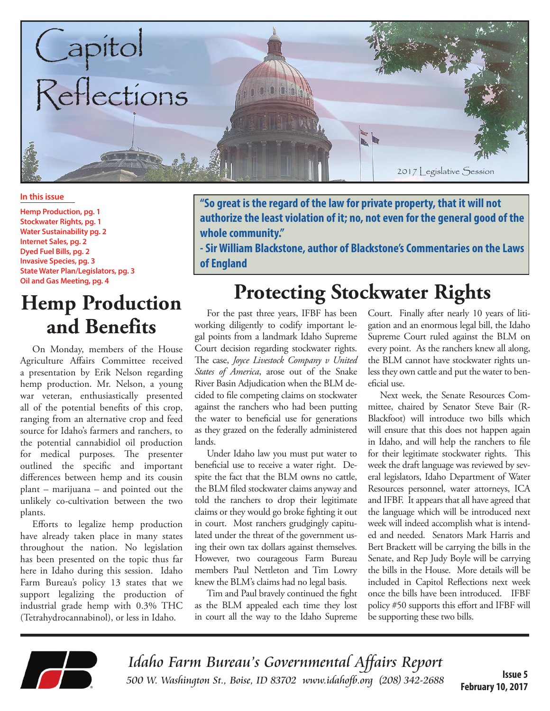

#### **In this issue**

**Hemp Production, pg. 1 Stockwater Rights, pg. 1 Water Sustainability pg. 2 Internet Sales, pg. 2 Dyed Fuel Bills, pg. 2 Invasive Species, pg. 3 State Water Plan/Legislators, pg. 3 Oil and Gas Meeting, pg. 4**

## **Hemp Production and Benefits**

On Monday, members of the House Agriculture Affairs Committee received a presentation by Erik Nelson regarding hemp production. Mr. Nelson, a young war veteran, enthusiastically presented all of the potential benefits of this crop, ranging from an alternative crop and feed source for Idaho's farmers and ranchers, to the potential cannabidiol oil production for medical purposes. The presenter outlined the specific and important differences between hemp and its cousin plant – marijuana – and pointed out the unlikely co-cultivation between the two plants.

Efforts to legalize hemp production have already taken place in many states throughout the nation. No legislation has been presented on the topic thus far here in Idaho during this session. Idaho Farm Bureau's policy 13 states that we support legalizing the production of industrial grade hemp with 0.3% THC (Tetrahydrocannabinol), or less in Idaho.

**"So great is the regard of the law for private property, that it will not authorize the least violation of it; no, not even for the general good of the whole community."**

**- Sir William Blackstone, author of Blackstone's Commentaries on the Laws of England**

# **Protecting Stockwater Rights**

For the past three years, IFBF has been working diligently to codify important legal points from a landmark Idaho Supreme Court decision regarding stockwater rights. The case, *Joyce Livestock Company v United States of America*, arose out of the Snake River Basin Adjudication when the BLM decided to file competing claims on stockwater against the ranchers who had been putting the water to beneficial use for generations as they grazed on the federally administered lands.

Under Idaho law you must put water to beneficial use to receive a water right. Despite the fact that the BLM owns no cattle, the BLM filed stockwater claims anyway and told the ranchers to drop their legitimate claims or they would go broke fighting it out in court. Most ranchers grudgingly capitulated under the threat of the government using their own tax dollars against themselves. However, two courageous Farm Bureau members Paul Nettleton and Tim Lowry knew the BLM's claims had no legal basis.

Tim and Paul bravely continued the fight as the BLM appealed each time they lost in court all the way to the Idaho Supreme

Court. Finally after nearly 10 years of litigation and an enormous legal bill, the Idaho Supreme Court ruled against the BLM on every point. As the ranchers knew all along, the BLM cannot have stockwater rights unless they own cattle and put the water to beneficial use.

Next week, the Senate Resources Committee, chaired by Senator Steve Bair (R-Blackfoot) will introduce two bills which will ensure that this does not happen again in Idaho, and will help the ranchers to file for their legitimate stockwater rights. This week the draft language was reviewed by several legislators, Idaho Department of Water Resources personnel, water attorneys, ICA and IFBF. It appears that all have agreed that the language which will be introduced next week will indeed accomplish what is intended and needed. Senators Mark Harris and Bert Brackett will be carrying the bills in the Senate, and Rep Judy Boyle will be carrying the bills in the House. More details will be included in Capitol Reflections next week once the bills have been introduced. IFBF policy #50 supports this effort and IFBF will be supporting these two bills.



Idaho Farm Bureau's Governmental Affairs Report 500 W. Washington St., Boise, ID 83702 [www.idahofb.org \(2](http://www.idahofb.org)08) 342-2688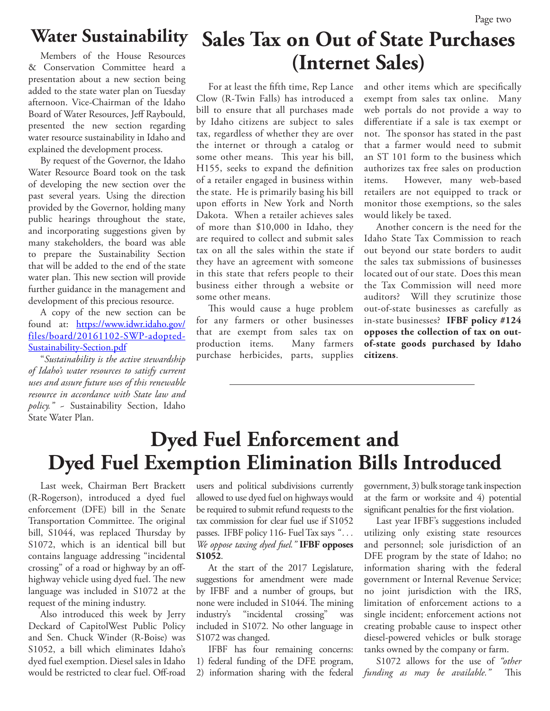### **Water Sustainability**

Members of the House Resources & Conservation Committee heard a presentation about a new section being added to the state water plan on Tuesday afternoon. Vice-Chairman of the Idaho Board of Water Resources, Jeff Raybould, presented the new section regarding water resource sustainability in Idaho and explained the development process.

By request of the Governor, the Idaho Water Resource Board took on the task of developing the new section over the past several years. Using the direction provided by the Governor, holding many public hearings throughout the state, and incorporating suggestions given by many stakeholders, the board was able to prepare the Sustainability Section that will be added to the end of the state water plan. This new section will provide further guidance in the management and development of this precious resource.

A copy of the new section can be found at: [https://www.idwr.idaho.gov/](https://www.idwr.idaho.gov/files/board/20161102-SWP-adopted-Sustainability-Section.pdf) [files/board/20161102-SWP-adopted-](https://www.idwr.idaho.gov/files/board/20161102-SWP-adopted-Sustainability-Section.pdf)[Sustainability-Section.pdf](https://www.idwr.idaho.gov/files/board/20161102-SWP-adopted-Sustainability-Section.pdf)

"*Sustainability is the active stewardship of Idaho's water resources to satisfy current uses and assure future uses of this renewable resource in accordance with State law and policy."* ~ Sustainability Section, Idaho State Water Plan.

## **Sales Tax on Out of State Purchases (Internet Sales)**

For at least the fifth time, Rep Lance Clow (R-Twin Falls) has introduced a bill to ensure that all purchases made by Idaho citizens are subject to sales tax, regardless of whether they are over the internet or through a catalog or some other means. This year his bill, H155, seeks to expand the definition of a retailer engaged in business within the state. He is primarily basing his bill upon efforts in New York and North Dakota. When a retailer achieves sales of more than \$10,000 in Idaho, they are required to collect and submit sales tax on all the sales within the state if they have an agreement with someone in this state that refers people to their business either through a website or some other means.

This would cause a huge problem for any farmers or other businesses that are exempt from sales tax on production items. Many farmers purchase herbicides, parts, supplies

and other items which are specifically exempt from sales tax online. Many web portals do not provide a way to differentiate if a sale is tax exempt or not. The sponsor has stated in the past that a farmer would need to submit an ST 101 form to the business which authorizes tax free sales on production items. However, many web-based retailers are not equipped to track or monitor those exemptions, so the sales would likely be taxed.

Another concern is the need for the Idaho State Tax Commission to reach out beyond our state borders to audit the sales tax submissions of businesses located out of our state. Does this mean the Tax Commission will need more auditors? Will they scrutinize those out-of-state businesses as carefully as in-state businesses? **IFBF policy #124 opposes the collection of tax on outof-state goods purchased by Idaho citizens**.

# **Dyed Fuel Enforcement and Dyed Fuel Exemption Elimination Bills Introduced**

Last week, Chairman Bert Brackett (R-Rogerson), introduced a dyed fuel enforcement (DFE) bill in the Senate Transportation Committee. The original bill, S1044, was replaced Thursday by S1072, which is an identical bill but contains language addressing "incidental crossing" of a road or highway by an offhighway vehicle using dyed fuel. The new language was included in S1072 at the request of the mining industry.

Also introduced this week by Jerry Deckard of CapitolWest Public Policy and Sen. Chuck Winder (R-Boise) was S1052, a bill which eliminates Idaho's dyed fuel exemption. Diesel sales in Idaho would be restricted to clear fuel. Off-road

users and political subdivisions currently allowed to use dyed fuel on highways would be required to submit refund requests to the tax commission for clear fuel use if S1052 passes. IFBF policy 116- Fuel Tax says ". . . *We oppose taxing dyed fuel."* **IFBF opposes S1052**.

At the start of the 2017 Legislature, suggestions for amendment were made by IFBF and a number of groups, but none were included in S1044. The mining industry's "incidental crossing" was included in S1072. No other language in S1072 was changed.

IFBF has four remaining concerns: 1) federal funding of the DFE program, 2) information sharing with the federal government, 3) bulk storage tank inspection at the farm or worksite and 4) potential significant penalties for the first violation.

Last year IFBF's suggestions included utilizing only existing state resources and personnel; sole jurisdiction of an DFE program by the state of Idaho; no information sharing with the federal government or Internal Revenue Service; no joint jurisdiction with the IRS, limitation of enforcement actions to a single incident; enforcement actions not creating probable cause to inspect other diesel-powered vehicles or bulk storage tanks owned by the company or farm.

S1072 allows for the use of *"other funding as may be available."* This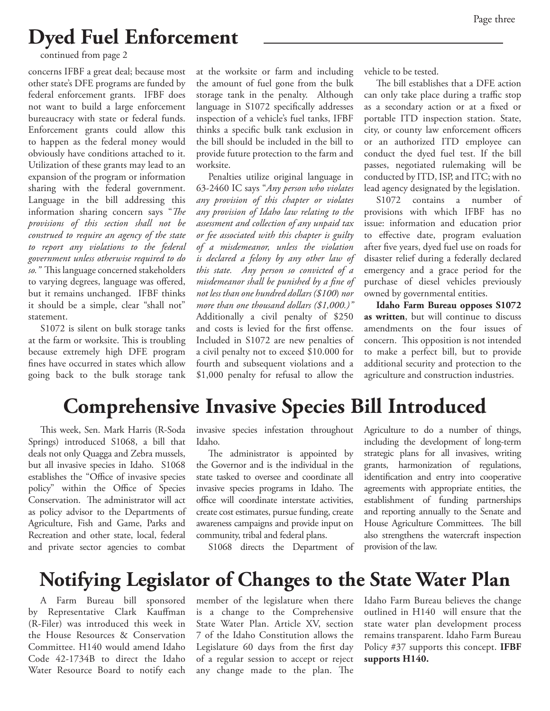# **Dyed Fuel Enforcement**

#### continued from page 2

concerns IFBF a great deal; because most other state's DFE programs are funded by federal enforcement grants. IFBF does not want to build a large enforcement bureaucracy with state or federal funds. Enforcement grants could allow this to happen as the federal money would obviously have conditions attached to it. Utilization of these grants may lead to an expansion of the program or information sharing with the federal government. Language in the bill addressing this information sharing concern says "*The provisions of this section shall not be construed to require an agency of the state to report any violations to the federal government unless otherwise required to do so."* This language concerned stakeholders to varying degrees, language was offered, but it remains unchanged. IFBF thinks it should be a simple, clear "shall not" statement.

S1072 is silent on bulk storage tanks at the farm or worksite. This is troubling because extremely high DFE program fines have occurred in states which allow going back to the bulk storage tank at the worksite or farm and including the amount of fuel gone from the bulk storage tank in the penalty. Although language in S1072 specifically addresses inspection of a vehicle's fuel tanks, IFBF thinks a specific bulk tank exclusion in the bill should be included in the bill to provide future protection to the farm and worksite.

Penalties utilize original language in 63-2460 IC says "*Any person who violates any provision of this chapter or violates any provision of Idaho law relating to the assessment and collection of any unpaid tax or fee associated with this chapter is guilty of a misdemeanor, unless the violation is declared a felony by any other law of this state. Any person so convicted of a misdemeanor shall be punished by a fine of not less than one hundred dollars (\$100*) *nor more than one thousand dollars (\$1,000.)"* Additionally a civil penalty of \$250 and costs is levied for the first offense. Included in S1072 are new penalties of a civil penalty not to exceed \$10.000 for fourth and subsequent violations and a \$1,000 penalty for refusal to allow the

vehicle to be tested.

The bill establishes that a DFE action can only take place during a traffic stop as a secondary action or at a fixed or portable ITD inspection station. State, city, or county law enforcement officers or an authorized ITD employee can conduct the dyed fuel test. If the bill passes, negotiated rulemaking will be conducted by ITD, ISP, and ITC; with no lead agency designated by the legislation.

S1072 contains a number of provisions with which IFBF has no issue: information and education prior to effective date, program evaluation after five years, dyed fuel use on roads for disaster relief during a federally declared emergency and a grace period for the purchase of diesel vehicles previously owned by governmental entities.

**Idaho Farm Bureau opposes S1072 as written**, but will continue to discuss amendments on the four issues of concern. This opposition is not intended to make a perfect bill, but to provide additional security and protection to the agriculture and construction industries.

# **Comprehensive Invasive Species Bill Introduced**

This week, Sen. Mark Harris (R-Soda Springs) introduced S1068, a bill that deals not only Quagga and Zebra mussels, but all invasive species in Idaho. S1068 establishes the "Office of invasive species policy" within the Office of Species Conservation. The administrator will act as policy advisor to the Departments of Agriculture, Fish and Game, Parks and Recreation and other state, local, federal and private sector agencies to combat

invasive species infestation throughout Idaho.

The administrator is appointed by the Governor and is the individual in the state tasked to oversee and coordinate all invasive species programs in Idaho. The office will coordinate interstate activities, create cost estimates, pursue funding, create awareness campaigns and provide input on community, tribal and federal plans.

S1068 directs the Department of

Agriculture to do a number of things, including the development of long-term strategic plans for all invasives, writing grants, harmonization of regulations, identification and entry into cooperative agreements with appropriate entities, the establishment of funding partnerships and reporting annually to the Senate and House Agriculture Committees. The bill also strengthens the watercraft inspection provision of the law.

### **Notifying Legislator of Changes to the State Water Plan**

A Farm Bureau bill sponsored by Representative Clark Kauffman (R-Filer) was introduced this week in the House Resources & Conservation Committee. H140 would amend Idaho Code 42-1734B to direct the Idaho Water Resource Board to notify each

member of the legislature when there is a change to the Comprehensive State Water Plan. Article XV, section 7 of the Idaho Constitution allows the Legislature 60 days from the first day of a regular session to accept or reject any change made to the plan. The

Idaho Farm Bureau believes the change outlined in H140 will ensure that the state water plan development process remains transparent. Idaho Farm Bureau Policy #37 supports this concept. **IFBF supports H140.**